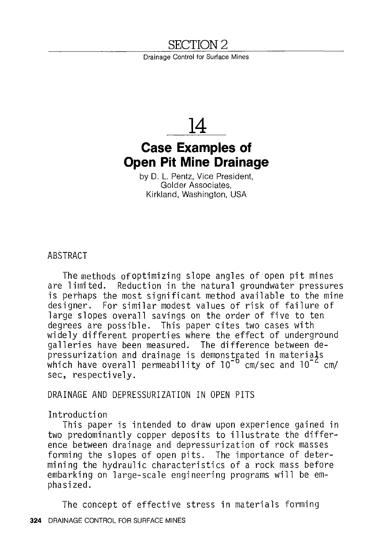# SECTION 2

Drainage Control for Surface Mines



# **Case Examples of Open Pit Mine Drainage**

by 0. L. Pentz, Vice President, Golder Associates, Kirkland, Washington, USA

ABSTRACT

The methods of optimizing slope angles of open pit mines are limited. Reduction in the natural groundwater pressures is perhaps the most significant method available to the mine designer. For similar modest values of risk of failure of large slopes overall savings on the order of five to ten degrees are possible. This paper cites two cases with widely different properties where the effect of underground galleries have been measured. The difference between depressurization and drainage is demonst $\operatorname{\mathsf{g}}$ ated in materi $\operatorname{\mathsf{a}}\nolimits\mathsf{j}$ s which have overall permea $\mathrm{bilit}$  of 10 $^{-\mathrm{o}}$  cm/sec and 10 $^{-\mathrm{c}}$  cm/ sec, respectively.

DRAINAGE AND DEPRESSURIZATION IN OPEN PITS

# Introduction

This paper is intended to draw upon experience gained in two predominantly copper deposits to illustrate the difference between drainage and depressurization of rock masses forming the slopes of open pits. The importance of determining the hydraulic characteristics of a rock mass before embarking on large-scale engineering programs will be emphasized.

The concept of effective stress in materials forming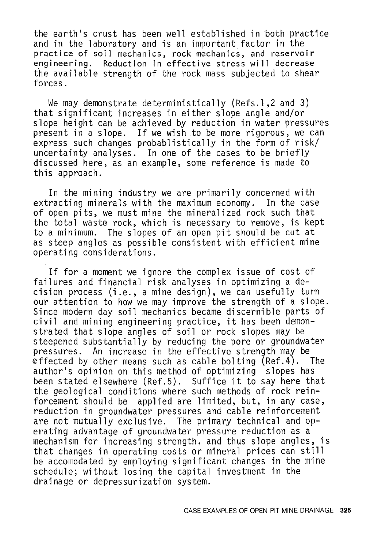the earth's crust has been well established in both practice and in the laboratory and is an important factor in the practice of soil mechanics, rock mechanics, and reservoir engineering. Reduction in effective stress will decrease the available strength of the rock mass subjected to shear forces.

We may demonstrate deterministically (Refs.1,2 and 3) that significant increases in either slope angle and/or slope height can be achieved by reduction in water pressures present in a slope. If we wish to be more rigorous, we can express such changes probablistically in the form of risk/ uncertainty analyses. In one of the cases to be briefly discussed here, as an example, some reference is made to this approach.

In the mining industry we are primarily concerned with extracting minerals with the maximum economy. In the case of open pits, we must mine the mineralized rock such that the total waste rock, which is necessary to remove, is kept to a minimum. The slopes of an open pit should be cut at as steep angles as possible consistent with efficient mine operating considerations.

If for a moment we ignore the complex issue of cost of failures and financial risk analyses in optimizing a decision process (i.e., a mine design), we can usefully turn our attention to how we may improve the strength of a slope. Since modern day soil mechanics became discernible parts of civil and mining engineering practice, it has been demonstrated that slope angles of soil or rock slopes may be steepened substantially by reducing the pore or groundwater pressures. An increase in the effective strength may be<br>effected by other means such as cable bolting (Ref.4). The effected by other means such as cable bolting  $(Ref.4)$ . author's opinion on this method of optimizing slopes has been stated elsewhere (Ref.5). Suffice it to say here that the geological conditions where such methods of rock reinforcement should be applied are limited, but, in any case, reduction in groundwater pressures and cable reinforcement are not mutually exclusive. The primary technical and operating advantage of groundwater pressure reduction as a mechanism for increasing strength, and thus slope angles, is that changes in operating costs or mineral prices can still be accomodated by employing significant changes in the mine schedule; without losing the capital investment in the drainage or depressurization system.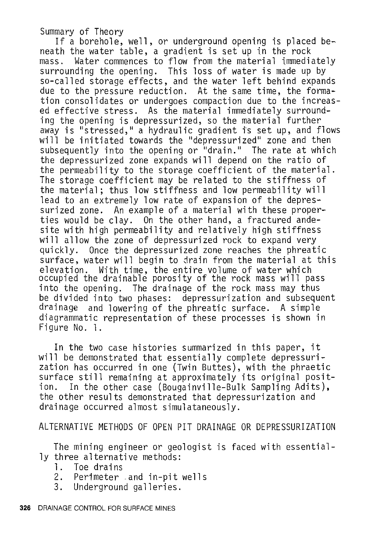Summary of Theory<br>If a borehole, well, or underground opening is placed beneath the water table, a gradient is set up in the rock mass. Water commences to flow from the material immediately surrounding the opening. This loss of water is made up by so-called storage effects, and the water left behind expands due to the pressure reduction. At the same time, the formation consolidates or undergoes compaction due to the increased effective stress. As the material immediately surrounding the opening is depressurized, so the material further away is "stressed," a hydraulic gradient is set up, and flows will be initiated towards the "depressurized" zone and then subsequently into the opening or "drain." The rate at which the depressurized zone expands will depend on the ratio of the permeability to the storage coefficient of the material. The storage coefficient may be related to the stiffness of the material; thus low stiffness and low permeability will lead to an extremely low rate of expansion of the depressurized zone. An example of a material with these properties would be clay. On the other hand, a fractured andesite with high permeability and relatively high stiffness will allow the zone of depressurized rock to expand very quickly. Once the depressurized zone reaches the phreatic surface, water will begin to drain from the material at this elevation. With time, the entire volume of water which occupied the drainable porosity of the rock mass will pass into the opening. The drainage of the rock mass may thus be divided into two phases: depressurization and subsequent drainage and lowering of the phreatic surface. A simple diagrammatic representation of these processes is shown in Figure No. 1.

In the two case histories summarized in this paper, it will be demonstrated that essentially complete depressurization has occurred in one (Twin Buttes), with the phraetic surface still remaining at approximately its original position. In the other case (Bougainville-Bulk Sampling Adits), the other results demonstrated that depressurization and drainage occurred almost simulataneously.

ALTERNATIVE METHODS OF OPEN PIT DRAINAGE OR DEPRESSURIZATION

The mining engineer or geologist is faced with essentially three alternative methods:<br>1. Toe drains

- Toe drains
- 2. Perimeter .and in-pit wells
- Underground galleries.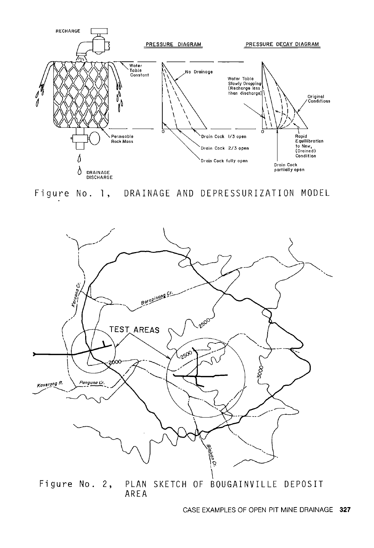



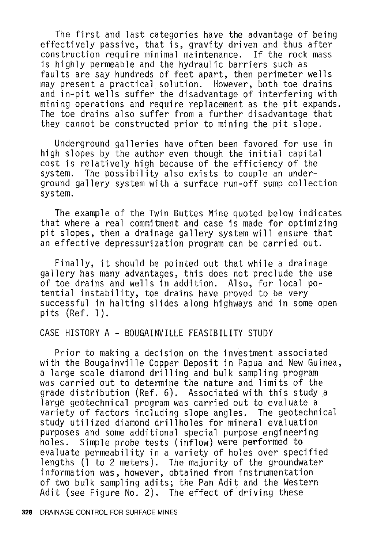The first and last categories have the advantage of being effectively passive, that is, gravity driven and thus after construction require minimal maintenance. If the rock mass is highly permeable and the hydraulic barriers such as faults are say hundreds of feet apart, then perimeter wells may present a practical solution. However, both toe drains and in-pit wells suffer the disadvantage of interfering with mining operations and require replacement as the pit expands. The toe drains also suffer from a further disadvantage that they cannot be constructed prior to mining the pit slope.

Underground galleries have often been favored for use in high slopes by the author even though the initial capital cost is relatively high because of the efficiency of the system. The possibility also exists to couple an underground gallery system with a surface run-off sump collection system.

The example of the Twin Buttes Mine quoted below indicates that where a real commitment and case is made for optimizing pit slopes, then a drainage gallery system will ensure that an effective depressurization program can be carried out.

Finally, it should be pointed out that while a drainage gallery has many advantages, this does not preclude the use of toe drains and wells in addition. Also, for local potential instability, toe drains have proved to be very successful in halting slides along highways and in some open pits (Ref. l).

# CASE HISTORY A - BOUGAINVILLE FEASIBILITY STUDY

Prior to making a decision on the investment associated with the Bougainville Copper Deposit in Papua and New Guinea, a large scale diamond drilling and bulk sampling program was carried out to determine the nature and limits of the grade distribution (Ref. 6). Associated with this study a large geotechnical program was carried out to evaluate a variety of factors including slope angles. The geotechnical study utilized diamond drillholes for mineral evaluation purposes and some additional special purpose engineering<br>holes. Simple probe tests (inflow) were performed to evaluate permeability in a variety of holes over specified lengths (l to 2 meters). The majority of the groundwater information was, however, obtained from instrumentation of two bulk sampling adits; the Pan Adit and the Western Adit (see Figure No. 2). The effect of.driving these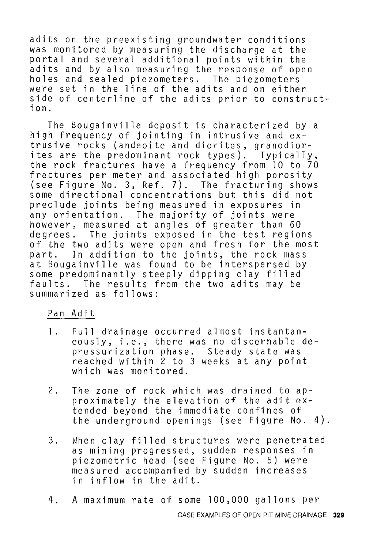adits on the preexisting groundwater conditions was monitored by measuring the discharge at the portal and several additional points within the adits and by also measuring the response of open holes and sealed piezometers. The piezometers were set in the line of the adits and on either side of centerline of the adits prior to construction.

The Bougainville deposit is characterized by a high frequency of jointing in intrusive and extrusive rocks (andeoite and diorites, granodiorites are the predominant rock types). Typically, the rock fractures have a frequency from 10 to 70 fractures per meter and associated high porosity (see Figure No. 3, Ref. 7). The fracturing shows some directional concentrations but this did not preclude joints being measured in exposures in any orientation. The majority of joints were however, measured at angles of greater than 60 degrees. The joints exposed in the test regions of the two adits were open and fresh for the most<br>part. In addition to the ioints, the rock mass In addition to the joints, the rock mass at Bougainville was found to be interspersed by some predominantly steeply dipping clay filled faults. The results from the two adits may be summarized as follows:

#### Pan Adit

- l. Full drainage occurred almost instantaneously, i.e., there was no discernable depressurization phase. Steady state was reached within 2 to 3 weeks at any point which was monitored.
- 2. The zone of rock which was drained to approximately the elevation of the adit extended beyond the immediate confines of the underground openings (see Figure No. 4).
- 3. When clay filled structures were penetrated as mining progressed, sudden responses in piezometric head (see Figure No. 5) were measured accompanied by sudden increases in inflow in the adit.
- 4. A maximum rate of some 100,000 gallons per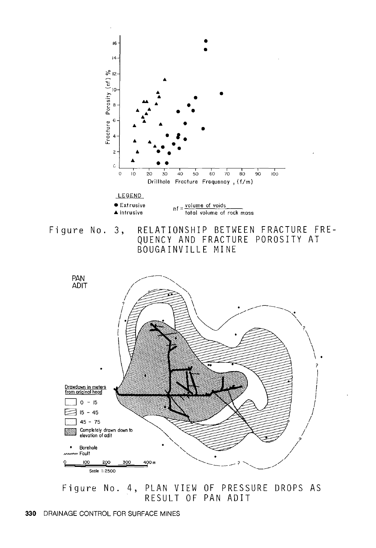

Figure No. 3, RELATIONSHIP BETWEEN FRACTURE FRE-QUENCY AND FRACTURE POROSITY AT BOUGAINVILLE MINE



Figure No. 4, PLAN VIEW OF PRESSURE DROPS AS RESULT OF PAN ADIT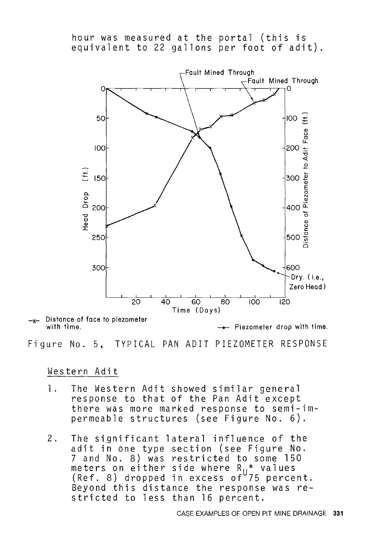hour was measured at the portal (this is equivalent to 22 gallons per foot of adit) .



Distance of face to piezometer with time.

Figure No. 5, TYPICAL PAN ADIT PIEZOMETER RESPONSE

Western Adit

- 1. The Western Adit showed similar general response to that of the Pan Adit except there was more marked response to semi-impermeable structures (see Figure No. 6).
- 2. The significant lateral influence of the adit in one type section (see Figure No. 7 and No. 8) was restricted to some 150 meters on either side where R<sub>II</sub>\* values (Ref. 8) dropped in excess of 75 percent. Beyond this distance the response was restricted to less than 16 percent.

Piezometer drop with time.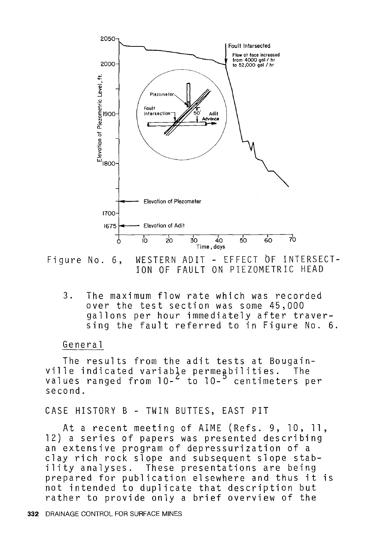

Figure No. 6, WESTERN ADIT - EFFECT OF INTERSECT-ION OF FAULT ON PIEZOMETRIC HEAD

3. The maximum flow rate which was recorded over the test section was some 45,000 gallons per hour immediately after traversing the fault referred to in Figure No. 6.

#### General

The results from the adit tests at Bougainville indicated variable permeabilities. The values ranged from  $10^{-2}$  to  $10^{-5}$  centimeters per second.

#### CASE HISTORY B - TWIN BUTTES, EAST PIT

At a recent meeting of AIME (Refs. 9, 10, 11, 12) a series of papers was presented describing an extensive program of depressurization of a clay rich rock slope and subsequent slope stability analyses. These presentations are being prepared for publication elsewhere and thus it is not intended to duplicate that description but rather to provide only a brief overview of the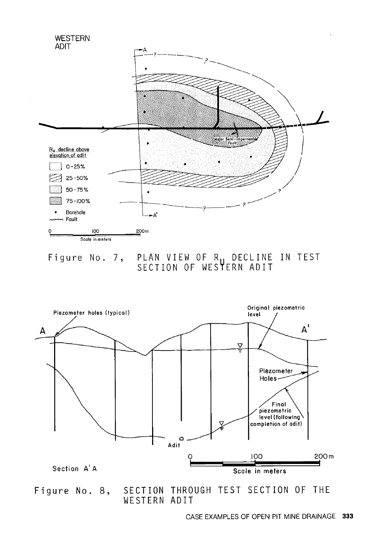

Figure No. 7, PLAN VIEW OF R<sub>11</sub> DECLINE IN TEST SECTION OF WES**T**ERN ADIT



Figure No. 8, SECTION THROUGH TEST SECTION OF THE WESTERN ADIT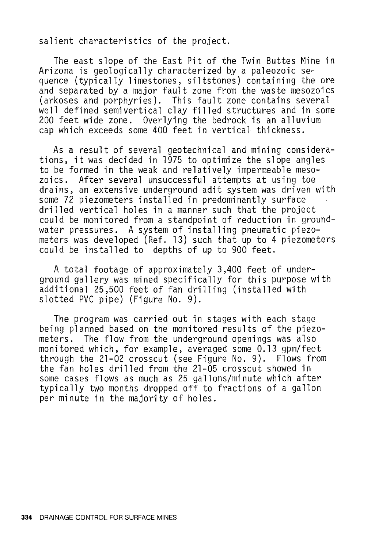salient characteristics of the project.

The east slope of the East Pit of the Twin Buttes Mine in Arizona is geologically characterized by a paleozoic sequence (typically limestones, siltstones) containing the ore and separated by a major fault zone from the waste mesozoics (arkoses and porphyries). This fault zone contains several well defined semivertical clay filled structures and in some 200 feet wide zone. Overlying the bedrock is an alluvium cap which exceeds some 400 feet in vertical thickness.

As a result of several geotechnical and mining considerations, it was decided in 1975 to optimize the slope angles to be formed in the weak and relatively impermeable mesozoics. After several unsuccessful attempts at using toe drains, an extensive underground adit system was driven with some 72 piezometers installed in predominantly surface drilled vertical holes in a manner such that the project could be monitored from a standpoint of reduction in groundwater pressures. A system of installing pneumatic piezometers was developed (Ref. 13) such that up to 4 piezometers could be installed to depths of up to 900 feet.

A total footage of approximately 3,400 feet of underground gallery was mined specifically for this purpose with additional 25,500 feet of fan drilling (installed with slotted PVC pipe) (Figure No. 9).

The program was carried out in stages with each stage being planned based on the monitored results of the piezometers. The flow from the underground openings was also monitored which, for example, averaged some 0.13 gpm/feet through the 21-02 crosscut (see Figure No. 9). Flows from the fan holes drilled from the 21-05 crosscut showed in some cases flows as much as 25 gallons/minute which after typically two months dropped off to fractions of a gallon per minute in the majority of holes.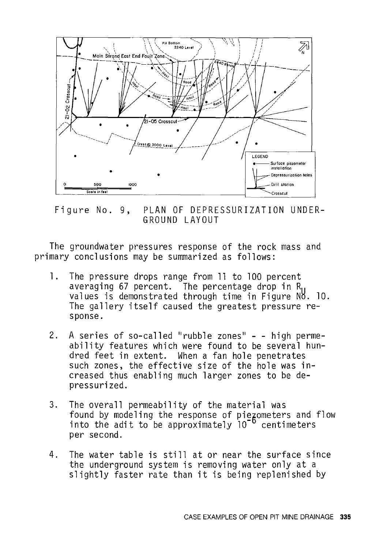

Figure No. 9, PLAN OF DEPRESSURIZATION UNDER-GROUND LAYOUT

The groundwater pressures response of the rock mass and primary conclusions may be summarized as follows:

- 1. The pressure drops range from 11 to 100 percent averaging 67 percent. The percentage drop in R<sub>u</sub> values is demonstrated through time in Figure NH. 10. The gallery itself caused the greatest pressure response.
- 2. A series of so-called "rubble zones" - high permeability features which were found to be several hundred feet in extent. When a fan hole penetrates such zones, the effective size of the hole was **in**creased thus enabling much larger zones to be depressurized.
- 3. The overall permeability of the material was found by modeling the response of piezometers and flow into the adit to be approximately 10<sup>-b</sup> centimeters per second.
- 4. The water table is still at or near the surface since the underground system is removing water only at a slightly faster rate than it is being replenished by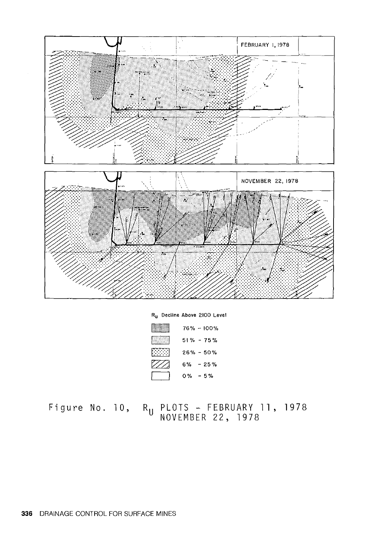

|      |               | $76\% - 100\%$ |
|------|---------------|----------------|
|      |               | $51\% - 75\%$  |
| 2000 | $26\% - 50\%$ |                |
|      | $6\% - 25\%$  |                |
|      | $0\% - 5\%$   |                |

Figure No. 10, R<sub>u</sub> PLOTS - FEBRUARY 11, 1978 NOVEMBER 22, 1978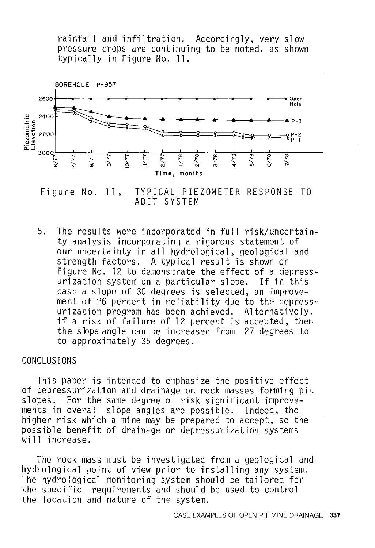rainfall and infiltration. Accordingly, very slow pressure drops are continuing to be noted, as shown typically in Figure No. 11.



Figure No. 11, TYPICAL PIEZOMETER RESPONSE TO ADIT SYSTEM

5. The results were incorporated in full risk/uncertainty analysis incorporating a rigorous statement of our uncertainty in all hydrological, geological and strength factors. A typical result is shown on Figure No. 12 to demonstrate the effect of a depressurization system on a particular slope. If in this case a slope of 30 degrees is selected, an improvement of 26 percent in reliability due to the depressurization program has been achieved. Alternatively, if a risk of failure of 12 percent is accepted, then the sbpe angle can be increased from 27 degrees to to approximately 35 degrees.

### CONCLUSIONS

This paper is intended to emphasize the positive effect of depressurization and drainage on rock masses forming pit slopes. For the same degree of risk significant improvements in overall slope angles are possible. Indeed, the higher risk which a mine may be prepared to accept, so the possible benefit of drainage or depressurization systems<br>will increase.

The rock mass must be investigated from a geological and hydrological point of view prior to installing any system. The hydrological monitoring system should be tailored for the specific requirements and should be used to control the location and nature of the system.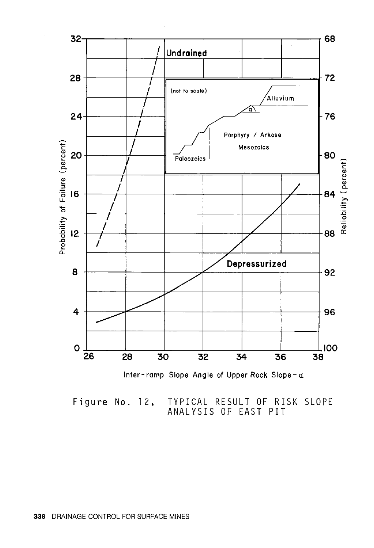

Figure No. 12, TYPICAL RESULT OF RISK SLOPE ANALYSIS OF EAST PIT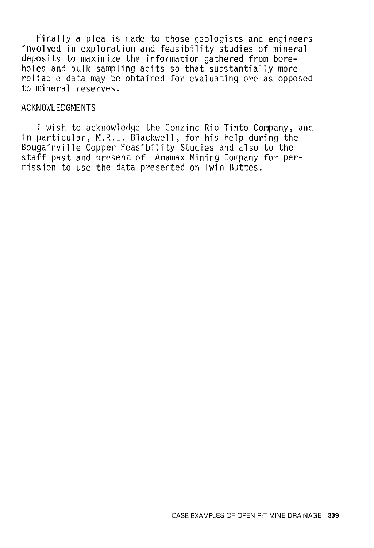Finally a plea is made to those geologists and engineers involved in exploration and feasibility studies of mineral deposits to maximize the information gathered from boreholes and bulk sampling adits so that substantially more reliable data may be obtained for evaluating ore as opposed to mineral reserves.

## ACKNOWLEDGMENTS

I wish to acknowledge the Conzinc Rio Tinto Company, and in particular, M.R.L. Blackwell, for his help during the Bougainville Copper Feasibility Studies and also to the staff past and present of Anamax Mining Company for permission to use the data presented on Twin Buttes.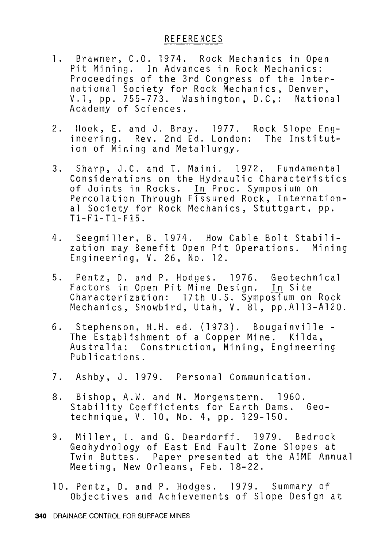- l. Brawner, C.O. 1974. Rock Mechanics in Open Pit Mining. In Advances in Rock Mechanics: Proceedings of the 3rd Congress of the International Society for Rock Mechanics, Denver, V. l, pp. 755-773. Washington, D.C,: National Academy of Sciences.
- 2. Hoek, E. and J. Bray. 1977. Rock Slope Engineering. Rev. 2nd Ed. London: The Institution of Mining and Metallurgy.
- 3. Sharp, J.C. and T. Maini. 1972. Fundamental Considerations on the Hydraulic Characteristics of Joints in Rocks. In Proc. Symposium on Percolation Through Fissured Rock, International Society for Rock Mechanics, Stuttgart, pp. Tl-Fl-Tl-F15.
- 4. Seegmiller, B. 1974. How Cable Bolt Stabilization may Benefit Open Pit Operations. Mining Engineering, V. 26, No. 12.
- 5. Pentz, D. and P. Hodges. 1976. Geotechnical Factors in Open Pit Mine Design. In Site Characterization: 17th U.S. Symposium on Rock Mechanics, Snowbird, Utah, V. 81, pp.All3-Al20.
- 6. Stephenson, H.H. ed. (1973). Bougainville The Establishment of a Copper Mine. Kilda, Australia: Construction, Mining, Engineering Publications.
- 7. Ashby, J. 1979. Personal Communication.
- 8. Bishop, A.W. and N. Morgenstern. 1960. Stability Coefficients for Earth Dams. Geotechnique, V. 10, No. 4, pp. 129-150.
- 9. Miller, I. and G. Deardorff. 1979. Bedrock Geohydrology of East End Fault Zone Slopes at Twin Buttes. Paper presented at the AIME Annual Meeting, New Orleans, Feb. 18-22.
- 10. Pentz, D. and P. Hodges. 1979. Summary of Objectives and Achievements of Slope Design at